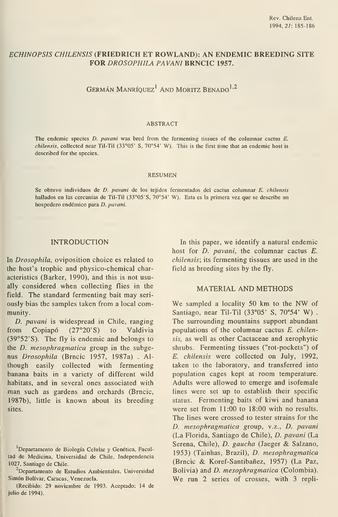# ECHINOPSIS CHILENSIS (FRIEDRICH ET ROWLAND): AN ENDEMIC BREEDING SITE FOR DROSOPHILA PAVANI BRNCIC 1957.

GERMÁN MANRÍQUEZ<sup>1</sup> AND MORITZ BENADO<sup>1,2</sup>

#### ABSTRACT

The endemic species D. pavani was bred from the fermenting tissues of the columnar cactus E. chilensis, collected near Til-Til  $(33°05' S, 70°54' W)$ . This is the first time that an endemic host is described for the species.

#### resumen

Se obtuvo individuos de D. pavani de los tejidos fermentados del cactus columnar E. chilensis hallados en las cercanías de Til-Til (33°05'S, 70°54' W). Esta es la primera vez que se describe un hospedero endémico para D. pavani.

### INTRODUCTION

In Drosophila, oviposition choice es related to the host's trophic and physico-chemical characteristics (Barker, 1990), and this is not usually considered when collecting flies in the field. The standard fermenting bait may seri ously bias the samples taken from a local community.

D. pavani is widespread in Chile, ranging from Copiapó (27°20'S) to Valdivia (39°52'S). The fly is endemic and belongs to the D. mesophragmatica group in the subgenus Drosophila (Brncic 1957, 1987a) . Although easily collected with fermenting banana baits in a variety of different wild habitats, and in several ones associated with man such as gardens and orchards (Brncic, 1987b), little is known about its breeding sites.

In this paper, we identify a natural endemic host for *D. pavani*, the columnar cactus *E.* chilensis; its fermenting tissues are used in the field as breeding sites by the fly.

## MATERIAL AND METHODS

We sampled <sup>a</sup> locality <sup>50</sup> km to the NW of Santiago, near Til-Til (33°05' S, 70°54' W) . The surrounding mountains support abundant populations of the columnar cactus E. chilensis, as well as other Cactaceae and xerophytic shrubs. Fermenting tissues ("rot-pockets") of E. chilensis were collected on July, 1992, taken to the laboratory, and transferred into population cages kept at room temperature. Adults were allowed to emerge and isofemale lines were set up to establish their specific status. Fermenting baits of kiwi and banana were set from 11:00 to 18:00 with no results. The lines were crossed to tester strains for the D. mesophragmatica group, v.z., D. pavani (La Florida, Santiago de Chile), D. pavani (La Serena, Chile), D. gaucha (Jaeger & Salzano, 1953) (Tainhas, Brazil), D. mesophragmatica (Brncic & Koref-Santibañez, 1957) (La Paz, Bolivia) and D. mesophragmatica (Colombia). We run 2 series of crosses, with 3 repli-

Departamento de Biología Celular y Genética, Facultad de Medicina, Universidad de Chile, Independencia 1027, Santiago de Chile.

<sup>&</sup>lt;sup>2</sup>Departamento de Estudios Ambientales, Universidad Simón Bolívar, Caracas, Venezuela.

<sup>(</sup>Recibido: 29 noviembre de 1993. Aceptado: 14 de julio de 1994).